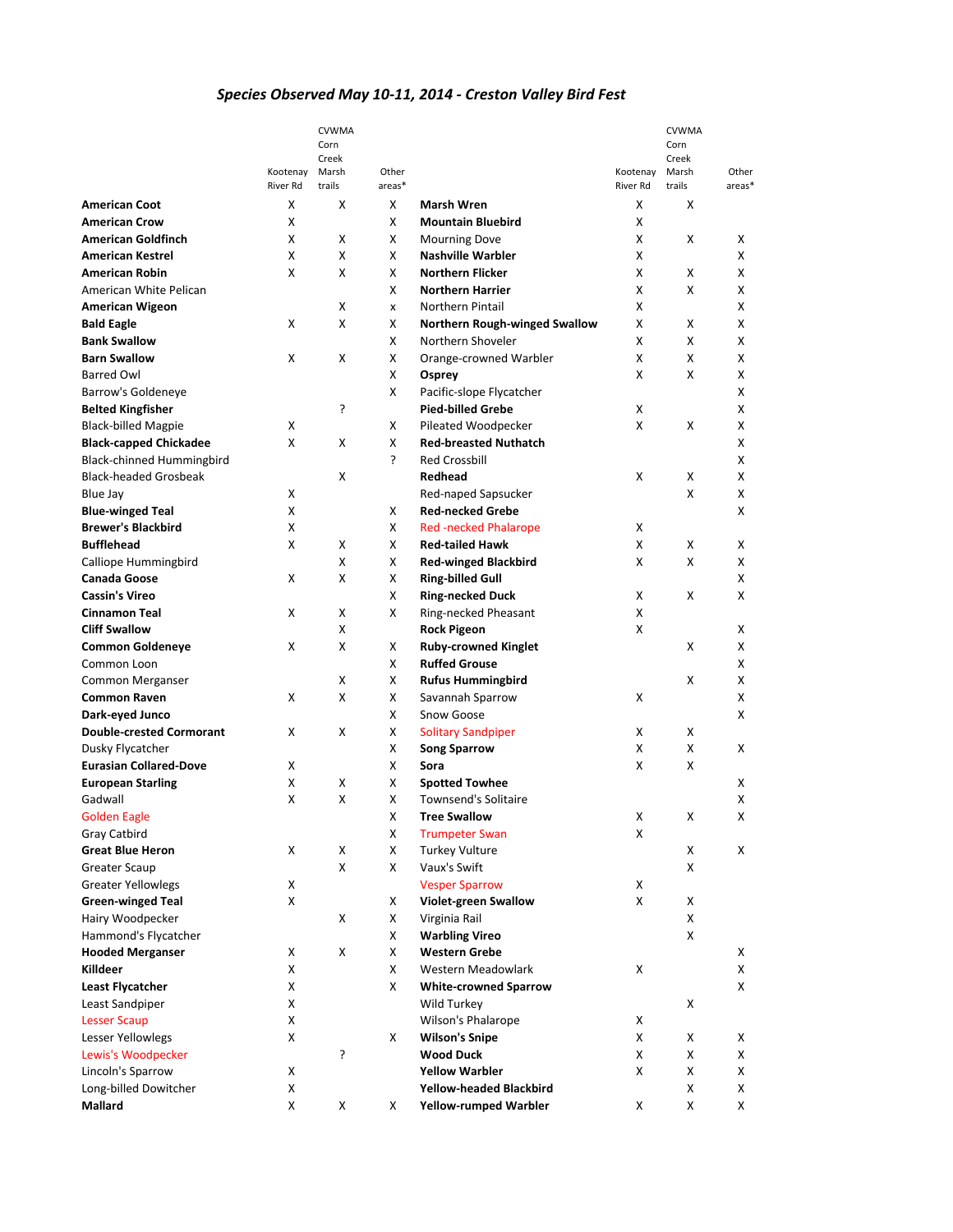## *Species Observed May 10-11, 2014 - Creston Valley Bird Fest*

|                                 |                      | <b>CVWMA</b>    |                 |                                      |                      | <b>CVWMA</b>   |                 |
|---------------------------------|----------------------|-----------------|-----------------|--------------------------------------|----------------------|----------------|-----------------|
|                                 |                      | Corn            |                 |                                      |                      | Corn           |                 |
|                                 |                      | Creek           |                 |                                      |                      | Creek<br>Marsh |                 |
|                                 | Kootenay<br>River Rd | Marsh<br>trails | Other<br>areas* |                                      | Kootenay<br>River Rd | trails         | Other<br>areas* |
| <b>American Coot</b>            | X                    | X               | X               | <b>Marsh Wren</b>                    | X                    | X              |                 |
| <b>American Crow</b>            | X                    |                 | x               | <b>Mountain Bluebird</b>             | x                    |                |                 |
| <b>American Goldfinch</b>       | x                    | X               | x               | <b>Mourning Dove</b>                 | x                    | x              | x               |
| <b>American Kestrel</b>         | X                    | X               | x               | <b>Nashville Warbler</b>             | X                    |                | X               |
| <b>American Robin</b>           | X                    | X               | x               | <b>Northern Flicker</b>              | X                    | X              | X               |
| American White Pelican          |                      |                 | X               | <b>Northern Harrier</b>              | X                    | X              | X               |
| <b>American Wigeon</b>          |                      | X               | x               | Northern Pintail                     | X                    |                | X               |
| <b>Bald Eagle</b>               | X                    | X               | X               | <b>Northern Rough-winged Swallow</b> | X                    | X              | X               |
| <b>Bank Swallow</b>             |                      |                 | x               | Northern Shoveler                    | x                    | X              | x               |
| <b>Barn Swallow</b>             | X                    | X               | x               | Orange-crowned Warbler               | x                    | х              | X               |
| <b>Barred Owl</b>               |                      |                 | X               | Osprey                               | X                    | X              | X               |
| Barrow's Goldeneye              |                      |                 | X               | Pacific-slope Flycatcher             |                      |                | X               |
| <b>Belted Kingfisher</b>        |                      | ŗ               |                 | <b>Pied-billed Grebe</b>             | X                    |                | X               |
| <b>Black-billed Magpie</b>      | x                    |                 | x               | Pileated Woodpecker                  | X                    | x              | X               |
| <b>Black-capped Chickadee</b>   | X                    | X               | x               | <b>Red-breasted Nuthatch</b>         |                      |                | X               |
| Black-chinned Hummingbird       |                      |                 | Ċ.              | <b>Red Crossbill</b>                 |                      |                | X               |
| <b>Black-headed Grosbeak</b>    |                      | x               |                 | Redhead                              | X                    | х              | X               |
| Blue Jay                        | x                    |                 |                 | Red-naped Sapsucker                  |                      | x              | X               |
| <b>Blue-winged Teal</b>         | X                    |                 | X               | <b>Red-necked Grebe</b>              |                      |                | X               |
| <b>Brewer's Blackbird</b>       | X                    |                 | x               | <b>Red-necked Phalarope</b>          | X                    |                |                 |
| <b>Bufflehead</b>               | X                    | x               | X               | <b>Red-tailed Hawk</b>               | X                    | x              | X               |
| Calliope Hummingbird            |                      | X               | X               | <b>Red-winged Blackbird</b>          | x                    | X              | X               |
| Canada Goose                    | X                    | X               | x               | <b>Ring-billed Gull</b>              |                      |                | X               |
| <b>Cassin's Vireo</b>           |                      |                 | x               | <b>Ring-necked Duck</b>              | X                    | x              | X               |
| <b>Cinnamon Teal</b>            | X                    | X               | X               | Ring-necked Pheasant                 | x                    |                |                 |
| <b>Cliff Swallow</b>            |                      | X               |                 | <b>Rock Pigeon</b>                   | X                    |                | X               |
| <b>Common Goldeneye</b>         | X                    | X               | x               | <b>Ruby-crowned Kinglet</b>          |                      | X              | X               |
| Common Loon                     |                      |                 | X               | <b>Ruffed Grouse</b>                 |                      |                | x               |
| Common Merganser                |                      | X               | x               | <b>Rufus Hummingbird</b>             |                      | x              | X               |
| <b>Common Raven</b>             | X                    | X               | X               | Savannah Sparrow                     | X                    |                | X               |
| Dark-eyed Junco                 |                      |                 | x               | Snow Goose                           |                      |                | X               |
| <b>Double-crested Cormorant</b> | X                    | X               | x               | <b>Solitary Sandpiper</b>            | X                    | x              |                 |
| Dusky Flycatcher                |                      |                 | X               | <b>Song Sparrow</b>                  | X                    | X              | X               |
| <b>Eurasian Collared-Dove</b>   | X                    |                 | X               | Sora                                 | X                    | X              |                 |
| <b>European Starling</b>        | x                    | х               | x               | <b>Spotted Towhee</b>                |                      |                | x               |
| Gadwall                         | X                    | X               | X               | <b>Townsend's Solitaire</b>          |                      |                | x               |
| <b>Golden Eagle</b>             |                      |                 | X               | <b>Tree Swallow</b>                  | X                    | X              | x               |
| Gray Catbird                    |                      |                 | X               | <b>Trumpeter Swan</b>                | x                    |                |                 |
| <b>Great Blue Heron</b>         | x                    | X               | x               | <b>Turkey Vulture</b>                |                      | х              | X               |
| Greater Scaup                   |                      | X               | x               | Vaux's Swift                         |                      | x              |                 |
| <b>Greater Yellowlegs</b>       | X                    |                 |                 | <b>Vesper Sparrow</b>                | X                    |                |                 |
| <b>Green-winged Teal</b>        | x                    |                 | x               | <b>Violet-green Swallow</b>          | x                    | X              |                 |
| Hairy Woodpecker                |                      | X               | x               | Virginia Rail                        |                      | X              |                 |
| Hammond's Flycatcher            |                      |                 | x               | <b>Warbling Vireo</b>                |                      | X              |                 |
| <b>Hooded Merganser</b>         | X                    | X               | x               | <b>Western Grebe</b>                 |                      |                | X               |
| Killdeer                        | x                    |                 | X               | Western Meadowlark                   | x                    |                | X               |
| <b>Least Flycatcher</b>         | X                    |                 | x               | <b>White-crowned Sparrow</b>         |                      |                | X               |
| Least Sandpiper                 | X                    |                 |                 | Wild Turkey                          |                      | х              |                 |
| <b>Lesser Scaup</b>             | X                    |                 |                 | Wilson's Phalarope                   | x                    |                |                 |
| Lesser Yellowlegs               | x                    |                 | X               | <b>Wilson's Snipe</b>                | x                    | x              | X               |
| Lewis's Woodpecker              |                      | 5.              |                 | <b>Wood Duck</b>                     | X                    | X              | X               |
| Lincoln's Sparrow               | X                    |                 |                 | <b>Yellow Warbler</b>                | x                    | х              | X               |
| Long-billed Dowitcher           | X                    |                 |                 | <b>Yellow-headed Blackbird</b>       |                      | X              | X               |
| Mallard                         | x                    | X               | X               | <b>Yellow-rumped Warbler</b>         | X                    | X              | X               |